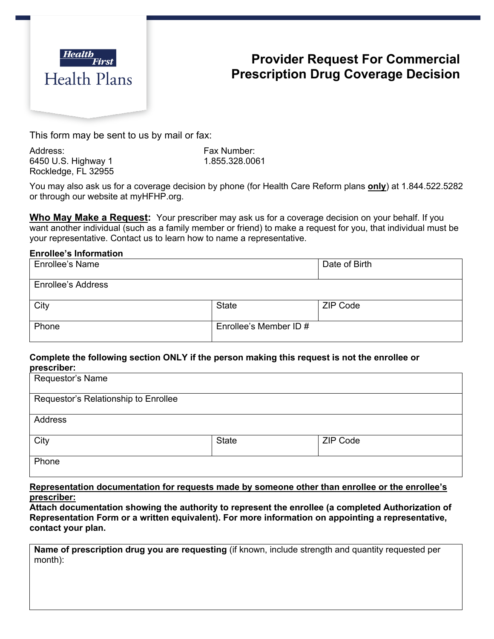

# **Provider Request For Commercial Prescription Drug Coverage Decision**

This form may be sent to us by mail or fax:

Address: Fax Number: 6450 U.S. Highway 1 1.855.328.0061 Rockledge, FL 32955

You may also ask us for a coverage decision by phone (for Health Care Reform plans **only**) at 1.844.522.5282 or through our website at myHFHP.org.

**Who May Make a Request:** Your prescriber may ask us for a coverage decision on your behalf. If you want another individual (such as a family member or friend) to make a request for you, that individual must be your representative. Contact us to learn how to name a representative.

#### **Enrollee's Information**

| Enrollee's Name           |                        | Date of Birth   |
|---------------------------|------------------------|-----------------|
| <b>Enrollee's Address</b> |                        |                 |
| City                      | <b>State</b>           | <b>ZIP Code</b> |
| Phone                     | Enrollee's Member ID # |                 |

#### **Complete the following section ONLY if the person making this request is not the enrollee or prescriber:**

| Requestor's Name                     |              |                 |  |
|--------------------------------------|--------------|-----------------|--|
| Requestor's Relationship to Enrollee |              |                 |  |
| Address                              |              |                 |  |
| City                                 | <b>State</b> | <b>ZIP Code</b> |  |
| Phone                                |              |                 |  |

**Representation documentation for requests made by someone other than enrollee or the enrollee's prescriber:**

**Attach documentation showing the authority to represent the enrollee (a completed Authorization of Representation Form or a written equivalent). For more information on appointing a representative, contact your plan.**

**Name of prescription drug you are requesting** (if known, include strength and quantity requested per month):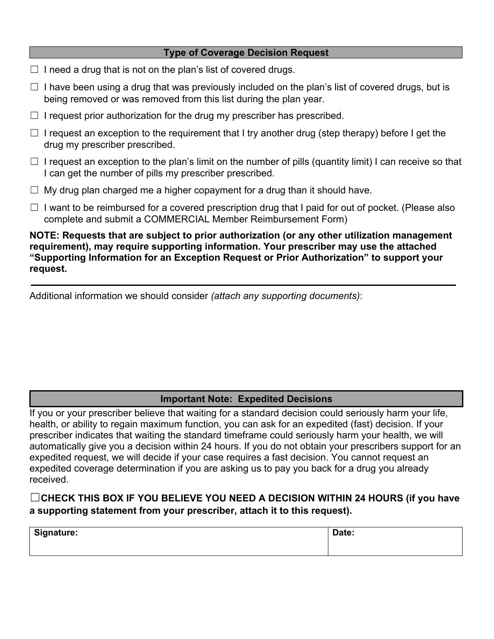### **Type of Coverage Decision Request**

- $\Box$  I need a drug that is not on the plan's list of covered drugs.
- $\Box$  I have been using a drug that was previously included on the plan's list of covered drugs, but is being removed or was removed from this list during the plan year.
- $\Box$  I request prior authorization for the drug my prescriber has prescribed.
- $\Box$  I request an exception to the requirement that I try another drug (step therapy) before I get the drug my prescriber prescribed.
- $\Box$  I request an exception to the plan's limit on the number of pills (quantity limit) I can receive so that I can get the number of pills my prescriber prescribed.
- $\Box$  My drug plan charged me a higher copayment for a drug than it should have.
- $\Box$  I want to be reimbursed for a covered prescription drug that I paid for out of pocket. (Please also complete and submit a COMMERCIAL Member Reimbursement Form)

**NOTE: Requests that are subject to prior authorization (or any other utilization management requirement), may require supporting information. Your prescriber may use the attached "Supporting Information for an Exception Request or Prior Authorization" to support your request.** 

Additional information we should consider *(attach any supporting documents)*:

## **Important Note: Expedited Decisions**

If you or your prescriber believe that waiting for a standard decision could seriously harm your life, health, or ability to regain maximum function, you can ask for an expedited (fast) decision. If your prescriber indicates that waiting the standard timeframe could seriously harm your health, we will automatically give you a decision within 24 hours. If you do not obtain your prescribers support for an expedited request, we will decide if your case requires a fast decision. You cannot request an expedited coverage determination if you are asking us to pay you back for a drug you already received.

## ☐**CHECK THIS BOX IF YOU BELIEVE YOU NEED A DECISION WITHIN 24 HOURS (if you have a supporting statement from your prescriber, attach it to this request).**

| <b>Signature:</b> | That:<br>ILG. |
|-------------------|---------------|
|                   |               |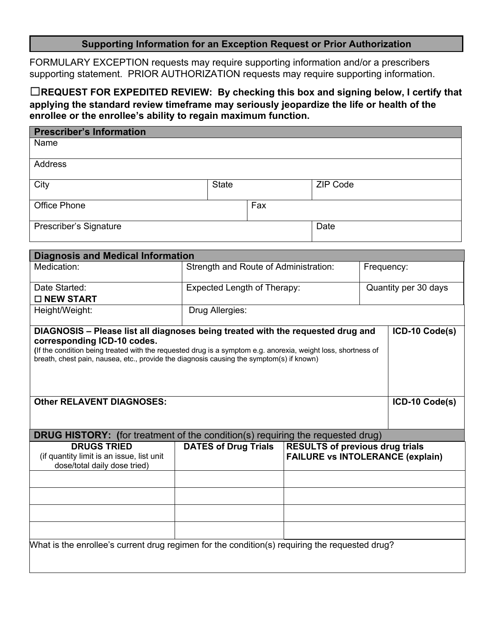### **Supporting Information for an Exception Request or Prior Authorization**

FORMULARY EXCEPTION requests may require supporting information and/or a prescribers supporting statement. PRIOR AUTHORIZATION requests may require supporting information.

☐**REQUEST FOR EXPEDITED REVIEW: By checking this box and signing below, I certify that applying the standard review timeframe may seriously jeopardize the life or health of the enrollee or the enrollee's ability to regain maximum function.**

| <b>Prescriber's Information</b>                                                                                                                                                                                                                                                                                                               |  |                                                     |     |  |                                        |  |                                         |
|-----------------------------------------------------------------------------------------------------------------------------------------------------------------------------------------------------------------------------------------------------------------------------------------------------------------------------------------------|--|-----------------------------------------------------|-----|--|----------------------------------------|--|-----------------------------------------|
| Name                                                                                                                                                                                                                                                                                                                                          |  |                                                     |     |  |                                        |  |                                         |
| <b>Address</b>                                                                                                                                                                                                                                                                                                                                |  |                                                     |     |  |                                        |  |                                         |
|                                                                                                                                                                                                                                                                                                                                               |  |                                                     |     |  |                                        |  |                                         |
| City                                                                                                                                                                                                                                                                                                                                          |  | <b>State</b>                                        |     |  | <b>ZIP Code</b>                        |  |                                         |
| <b>Office Phone</b>                                                                                                                                                                                                                                                                                                                           |  |                                                     | Fax |  |                                        |  |                                         |
|                                                                                                                                                                                                                                                                                                                                               |  |                                                     |     |  |                                        |  |                                         |
| Prescriber's Signature                                                                                                                                                                                                                                                                                                                        |  |                                                     |     |  | Date                                   |  |                                         |
|                                                                                                                                                                                                                                                                                                                                               |  |                                                     |     |  |                                        |  |                                         |
| <b>Diagnosis and Medical Information</b>                                                                                                                                                                                                                                                                                                      |  |                                                     |     |  |                                        |  |                                         |
| Medication:                                                                                                                                                                                                                                                                                                                                   |  | Strength and Route of Administration:<br>Frequency: |     |  |                                        |  |                                         |
| Date Started:                                                                                                                                                                                                                                                                                                                                 |  | <b>Expected Length of Therapy:</b>                  |     |  |                                        |  | Quantity per 30 days                    |
| □ NEW START                                                                                                                                                                                                                                                                                                                                   |  |                                                     |     |  |                                        |  |                                         |
| Height/Weight:                                                                                                                                                                                                                                                                                                                                |  | Drug Allergies:                                     |     |  |                                        |  |                                         |
| DIAGNOSIS - Please list all diagnoses being treated with the requested drug and<br>ICD-10 Code(s)<br>corresponding ICD-10 codes.<br>(If the condition being treated with the requested drug is a symptom e.g. anorexia, weight loss, shortness of<br>breath, chest pain, nausea, etc., provide the diagnosis causing the symptom(s) if known) |  |                                                     |     |  |                                        |  |                                         |
| <b>Other RELAVENT DIAGNOSES:</b>                                                                                                                                                                                                                                                                                                              |  |                                                     |     |  | ICD-10 Code(s)                         |  |                                         |
|                                                                                                                                                                                                                                                                                                                                               |  |                                                     |     |  |                                        |  |                                         |
| <b>DRUG HISTORY:</b> (for treatment of the condition(s) requiring the requested drug)                                                                                                                                                                                                                                                         |  |                                                     |     |  |                                        |  |                                         |
| <b>DRUGS TRIED</b>                                                                                                                                                                                                                                                                                                                            |  | <b>DATES of Drug Trials</b>                         |     |  | <b>RESULTS of previous drug trials</b> |  |                                         |
| (if quantity limit is an issue, list unit<br>dose/total daily dose tried)                                                                                                                                                                                                                                                                     |  |                                                     |     |  |                                        |  | <b>FAILURE vs INTOLERANCE (explain)</b> |
|                                                                                                                                                                                                                                                                                                                                               |  |                                                     |     |  |                                        |  |                                         |
|                                                                                                                                                                                                                                                                                                                                               |  |                                                     |     |  |                                        |  |                                         |
|                                                                                                                                                                                                                                                                                                                                               |  |                                                     |     |  |                                        |  |                                         |

What is the enrollee's current drug regimen for the condition(s) requiring the requested drug?